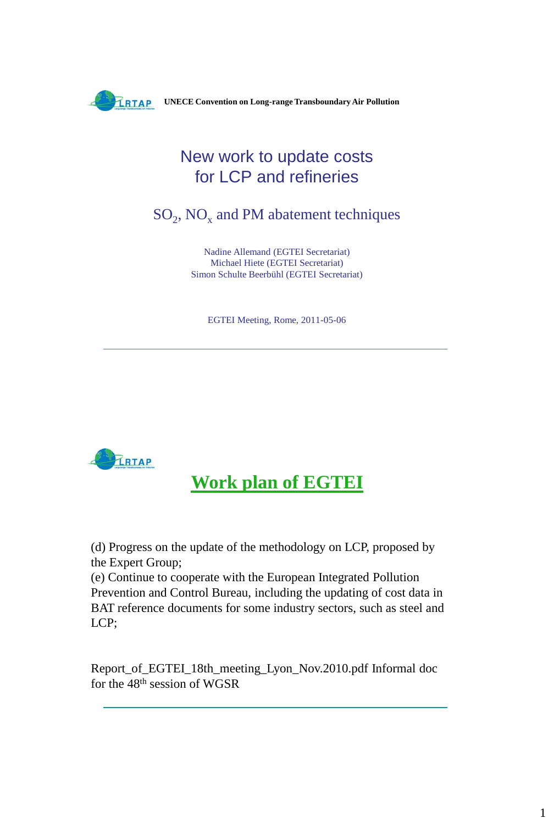

### New work to update costs for LCP and refineries

 $SO_2$ , NO<sub>x</sub> and PM abatement techniques

Nadine Allemand (EGTEI Secretariat) Michael Hiete (EGTEI Secretariat) Simon Schulte Beerbühl (EGTEI Secretariat)

EGTEI Meeting, Rome, 2011-05-06



**Work plan of EGTEI**

(d) Progress on the update of the methodology on LCP, proposed by the Expert Group;

(e) Continue to cooperate with the European Integrated Pollution Prevention and Control Bureau, including the updating of cost data in BAT reference documents for some industry sectors, such as steel and LCP;

Report\_of\_EGTEI\_18th\_meeting\_Lyon\_Nov.2010.pdf Informal doc for the 48th session of WGSR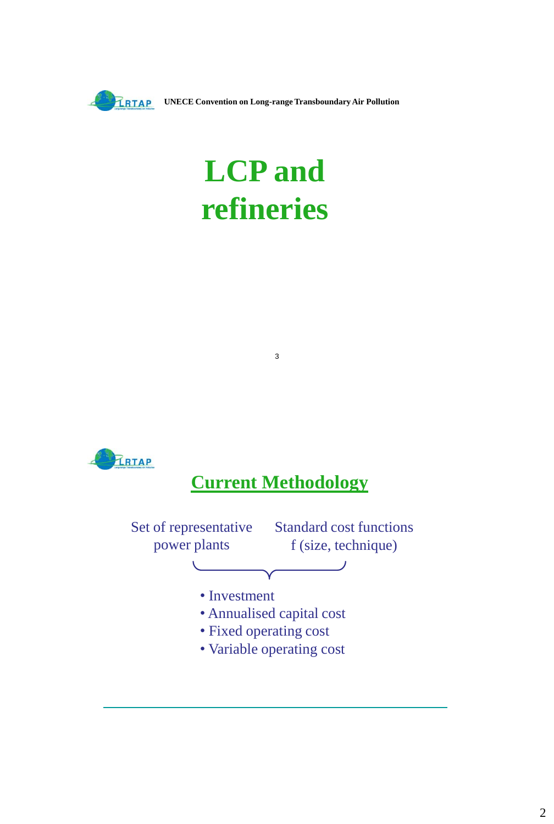

**UNECE Convention on Long-range Transboundary Air Pollution** 

# **LCP and refineries**



## **Current Methodology**

3

Set of representative Standard cost functions power plants f (size, technique) • Investment • Annualised capital cost • Fixed operating cost

• Variable operating cost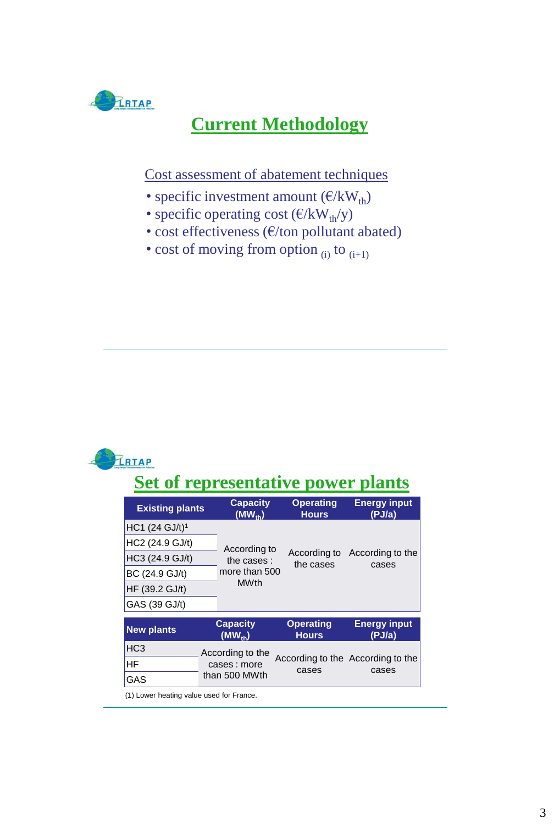

### **Current Methodology**

Cost assessment of abatement techniques

- specific investment amount  $(\mathcal{E}/kW_{th})$
- specific operating cost  $(\epsilon/kW_{th}/y)$
- cost effectiveness (€/ton pollutant abated)
- cost of moving from option  $_{(i)}$  to  $_{(i+1)}$



### **Set of representative power plants**

| <b>Existing plants</b>                   | <b>Capacity</b><br>$(MW_{th})$ | <b>Operating</b><br><b>Hours</b> | <b>Energy input</b><br>(PJ/a)              |  |
|------------------------------------------|--------------------------------|----------------------------------|--------------------------------------------|--|
| HC1 (24 GJ/t) <sup>1</sup>               |                                |                                  |                                            |  |
| HC2 (24.9 GJ/t)                          | According to                   | According to<br>the cases        | According to the<br>cases                  |  |
| HC3 (24.9 GJ/t)                          | the cases:                     |                                  |                                            |  |
| BC (24.9 GJ/t)                           | more than 500                  |                                  |                                            |  |
| HF (39.2 GJ/t)                           | <b>MWth</b>                    |                                  |                                            |  |
| GAS (39 GJ/t)                            |                                |                                  |                                            |  |
| <b>New plants</b>                        | <b>Capacity</b><br>$(MW_{th})$ | <b>Operating</b><br><b>Hours</b> | <b>Energy input</b><br>(PJ/a)              |  |
| HC <sub>3</sub>                          | According to the               | cases                            | According to the According to the<br>cases |  |
| HF                                       | cases: more                    |                                  |                                            |  |
| GAS                                      | than 500 MWth                  |                                  |                                            |  |
| (1) Lower heating value used for France. |                                |                                  |                                            |  |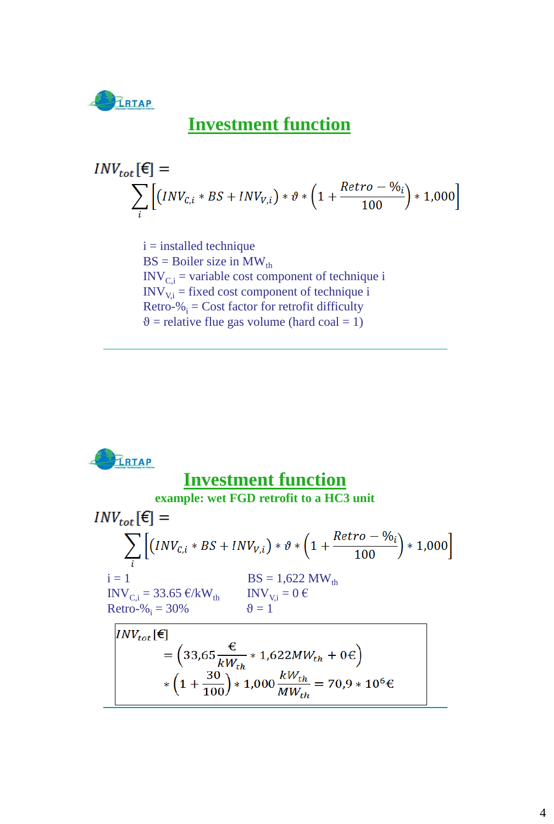

#### **Investment function**

$$
INV_{tot}[\mathbf{\epsilon}] = \sum_{i} \left[ (INV_{C,i} * BS + INV_{V,i}) * \vartheta * \left( 1 + \frac{Retro - \vartheta_{0i}}{100} \right) * 1,000 \right]
$$

 $i =$  installed technique  $BS = Boiler size in MW<sub>th</sub>$  $INV_{Ci}$  = variable cost component of technique i  $INV<sub>Vi</sub>$  = fixed cost component of technique i Retro- $\%$ <sub>i</sub> = Cost factor for retrofit difficulty  $\theta$  = relative flue gas volume (hard coal = 1)

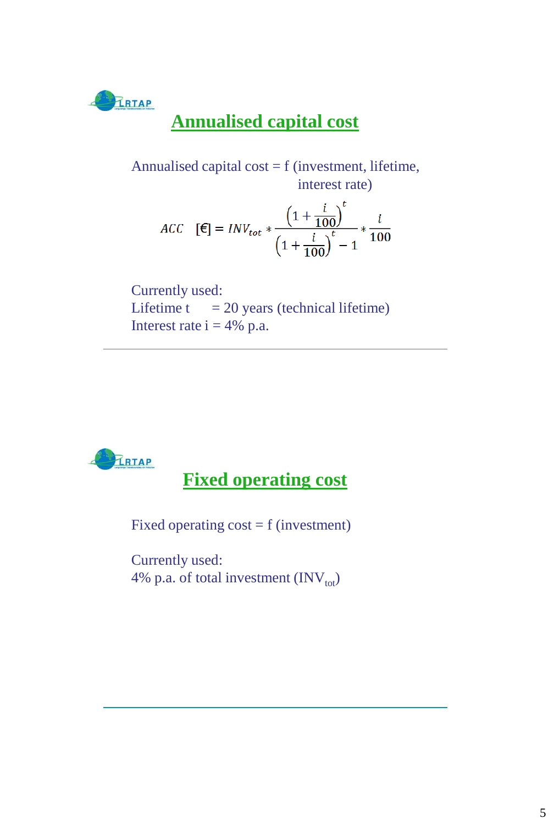

## **Annualised capital cost**

Annualised capital  $cost = f$  (investment, lifetime, interest rate)

$$
ACC \quad [\mathbf{E}] = INV_{tot} * \frac{\left(1 + \frac{i}{100}\right)^t}{\left(1 + \frac{i}{100}\right)^t - 1} * \frac{i}{100}
$$

Currently used: Lifetime  $t = 20$  years (technical lifetime) Interest rate  $i = 4\%$  p.a.



**Fixed operating cost**

Fixed operating  $cost = f$  (investment)

Currently used: 4% p.a. of total investment  $(INV_{tot})$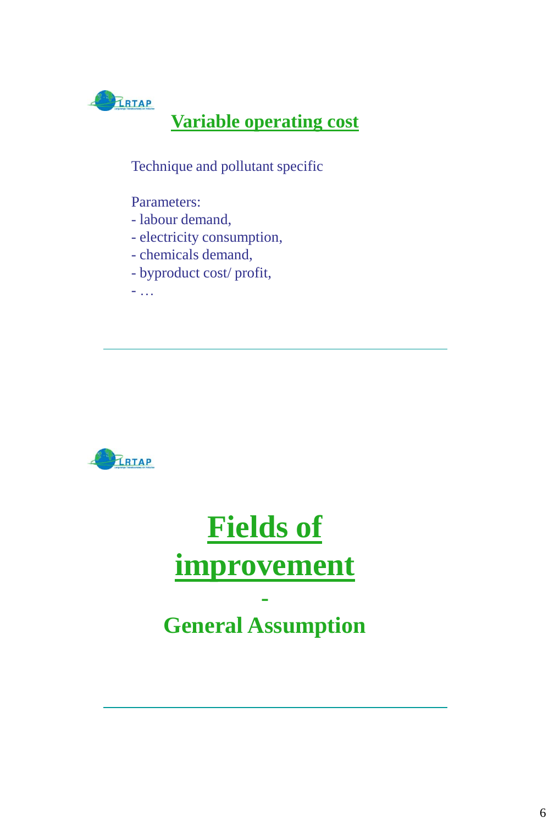

### **Variable operating cost**

Technique and pollutant specific

#### Parameters:

- labour demand,
- electricity consumption,
- chemicals demand,
- byproduct cost/ profit,

- …



# **Fields of improvement -**

# **General Assumption**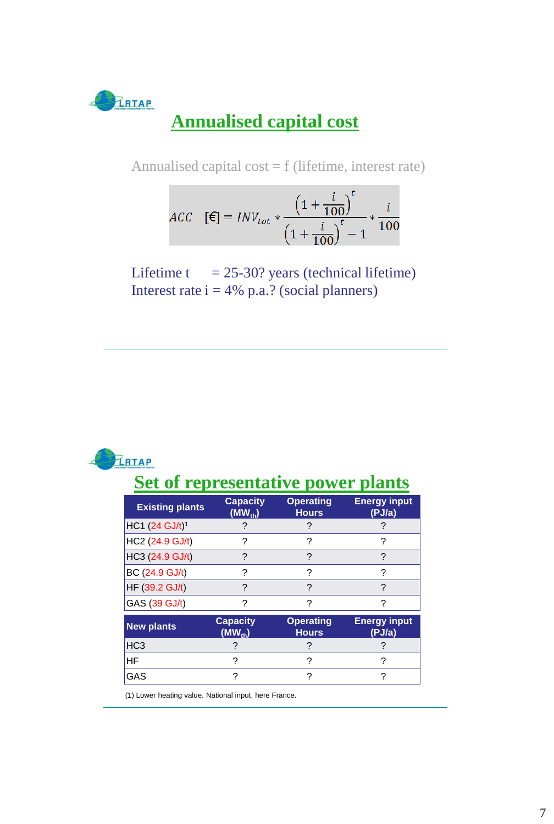

Annualised capital cost  $=$  f (lifetime, interest rate)

$$
ACC \quad [\mathbf{\in}] = INV_{tot} * \frac{\left(1 + \frac{i}{100}\right)^t}{\left(1 + \frac{i}{100}\right)^t - 1} * \frac{i}{100}
$$

Lifetime  $t = 25-30$ ? years (technical lifetime) Interest rate  $i = 4\%$  p.a.? (social planners)



## **Set of representative power plants**

| <b>Existing plants</b>     | <b>Capacity</b><br>$(MW_{th})$ | <b>Operating</b><br><b>Hours</b> | <b>Energy input</b><br>(PJ/a) |  |
|----------------------------|--------------------------------|----------------------------------|-------------------------------|--|
| HC1 (24 GJ/t) <sup>1</sup> |                                |                                  |                               |  |
| HC2 (24.9 GJ/t)            | ?                              | ?                                | ?                             |  |
| HC3 (24.9 GJ/t)            | ?                              | ?                                | ?                             |  |
| BC (24.9 GJ/t)             | ?                              | ?                                | ?                             |  |
| HF (39.2 GJ/t)             | ?                              | ?                                | ?                             |  |
| GAS (39 GJ/t)              | ?                              | ?                                | ?                             |  |
| <b>New plants</b>          | <b>Capacity</b><br>$(MW_{th})$ | <b>Operating</b><br><b>Hours</b> | <b>Energy input</b><br>(PJ/a) |  |
| HC <sub>3</sub>            |                                |                                  |                               |  |
| HF                         | 2<br>2                         |                                  | ?                             |  |
| GAS                        | 2                              | 2                                | 7                             |  |

(1) Lower heating value. National input, here France.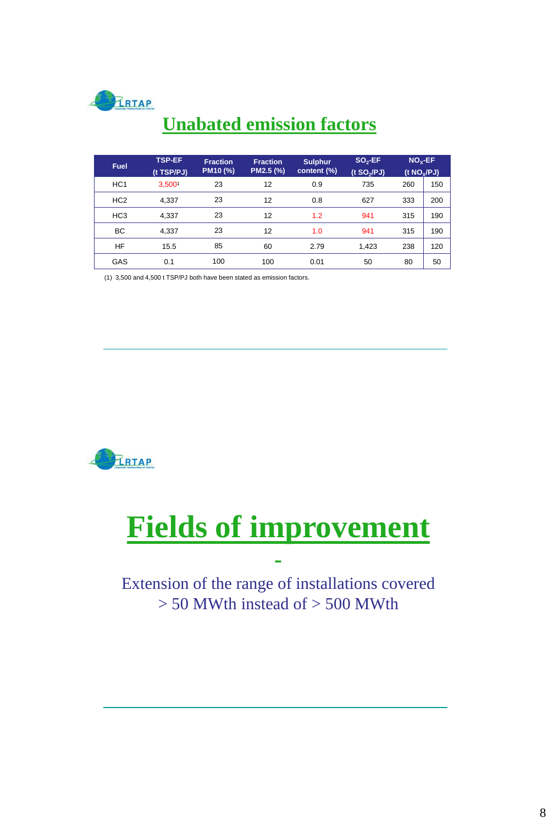

## **Unabated emission factors**

| <b>Fuel</b>     | TSP-EF<br>(t TSP/PJ) | <b>Fraction</b><br>PM10 (%) | <b>Fraction</b><br>PM2.5 (%) | <b>Sulphur</b><br>content (%) | $SO2-EF$<br>$(t$ SO <sub>2</sub> $($ PJ $)$ | $NOx-EF$<br>(t $NO_{x}/PJ$ ) |     |
|-----------------|----------------------|-----------------------------|------------------------------|-------------------------------|---------------------------------------------|------------------------------|-----|
| HC <sub>1</sub> | 3,5001               | 23                          | 12                           | 0.9                           | 735                                         | 260                          | 150 |
| HC <sub>2</sub> | 4.337                | 23                          | 12                           | 0.8                           | 627                                         | 333                          | 200 |
| HC <sub>3</sub> | 4.337                | 23                          | 12                           | 1.2                           | 941                                         | 315                          | 190 |
| BC              | 4.337                | 23                          | 12                           | 1.0                           | 941                                         | 315                          | 190 |
| <b>HF</b>       | 15.5                 | 85                          | 60                           | 2.79                          | 1.423                                       | 238                          | 120 |
| GAS             | 0.1                  | 100                         | 100                          | 0.01                          | 50                                          | 80                           | 50  |

(1) 3,500 and 4,500 t TSP/PJ both have been stated as emission factors.



# **Fields of improvement**

#### Extension of the range of installations covered  $>$  50 MWth instead of  $>$  500 MWth

**-**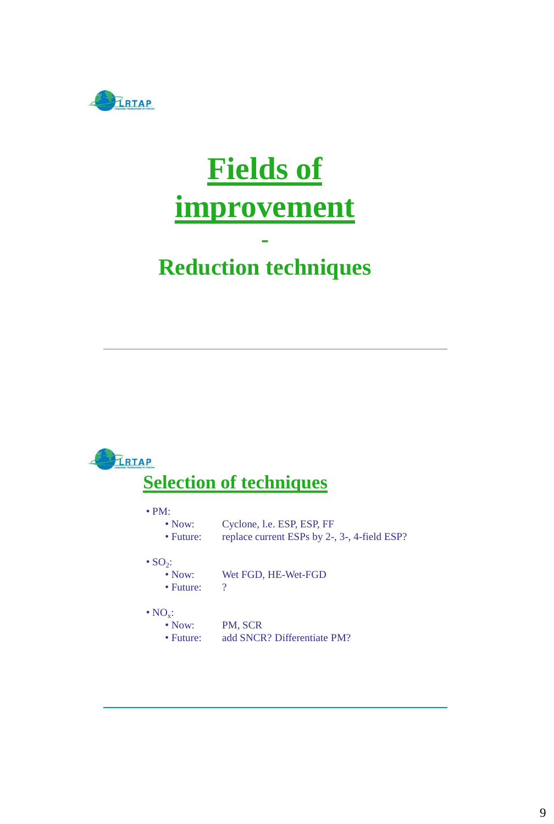

# **Fields of improvement**

## **- Reduction techniques**

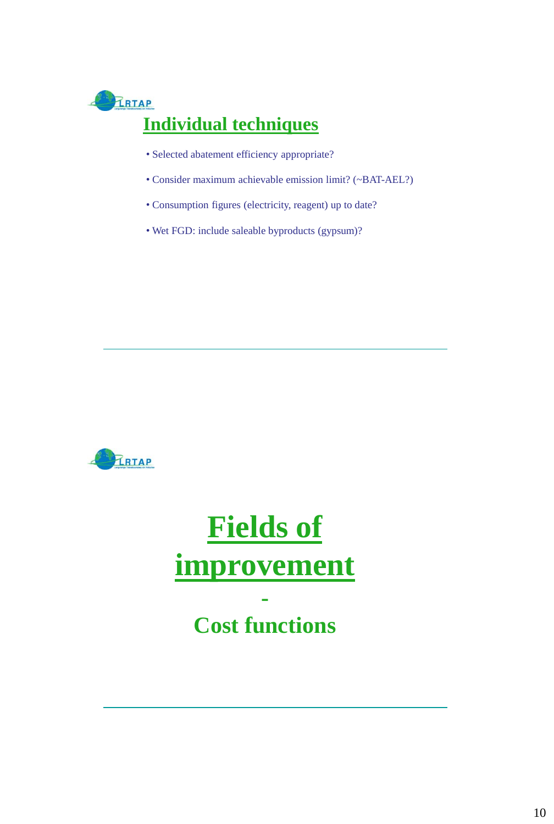

- Selected abatement efficiency appropriate?
- Consider maximum achievable emission limit? (~BAT-AEL?)
- Consumption figures (electricity, reagent) up to date?
- Wet FGD: include saleable byproducts (gypsum)?



# **Fields of improvement -**

# **Cost functions**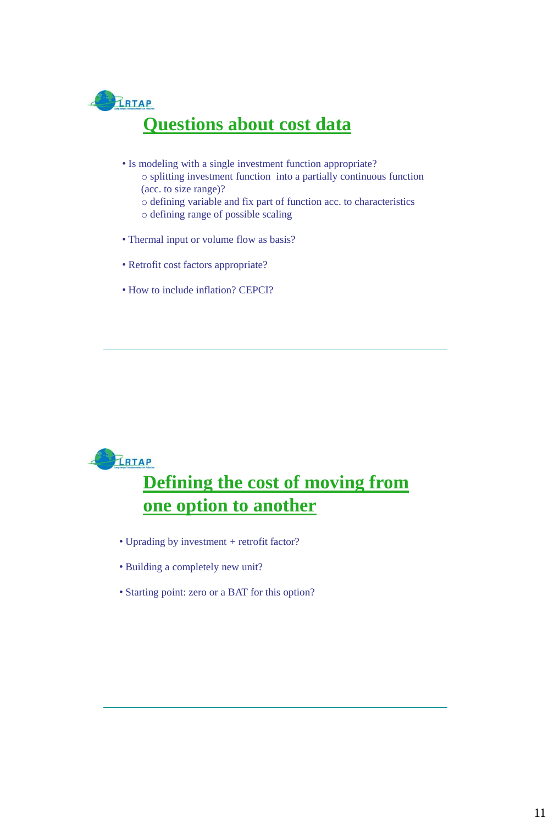

- Is modeling with a single investment function appropriate? o splitting investment function into a partially continuous function (acc. to size range)? o defining variable and fix part of function acc. to characteristics
	- o defining range of possible scaling
- Thermal input or volume flow as basis?
- Retrofit cost factors appropriate?
- How to include inflation? CEPCI?



### **Defining the cost of moving from one option to another**

- Uprading by investment + retrofit factor?
- Building a completely new unit?
- Starting point: zero or a BAT for this option?